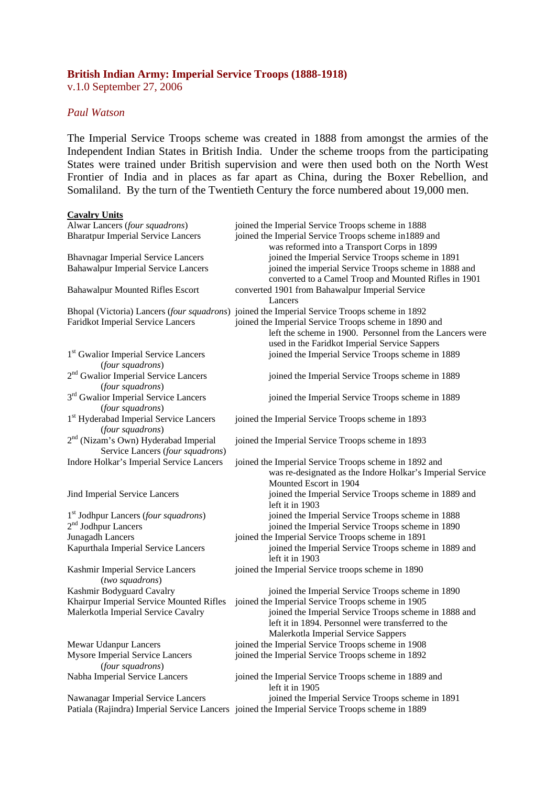## **British Indian Army: Imperial Service Troops (1888-1918)**

v.1.0 September 27, 2006

## *Paul Watson*

**Cavalry Units**

The Imperial Service Troops scheme was created in 1888 from amongst the armies of the Independent Indian States in British India. Under the scheme troops from the participating States were trained under British supervision and were then used both on the North West Frontier of India and in places as far apart as China, during the Boxer Rebellion, and Somaliland. By the turn of the Twentieth Century the force numbered about 19,000 men.

| Alwar Lancers (four squadrons)                                                       | joined the Imperial Service Troops scheme in 1888                                                                                                                  |
|--------------------------------------------------------------------------------------|--------------------------------------------------------------------------------------------------------------------------------------------------------------------|
| <b>Bharatpur Imperial Service Lancers</b>                                            | joined the Imperial Service Troops scheme in 1889 and                                                                                                              |
|                                                                                      | was reformed into a Transport Corps in 1899                                                                                                                        |
| <b>Bhavnagar Imperial Service Lancers</b>                                            | joined the Imperial Service Troops scheme in 1891                                                                                                                  |
| <b>Bahawalpur Imperial Service Lancers</b>                                           | joined the imperial Service Troops scheme in 1888 and<br>converted to a Camel Troop and Mounted Rifles in 1901                                                     |
| <b>Bahawalpur Mounted Rifles Escort</b>                                              | converted 1901 from Bahawalpur Imperial Service<br>Lancers                                                                                                         |
|                                                                                      | Bhopal (Victoria) Lancers (four squadrons) joined the Imperial Service Troops scheme in 1892                                                                       |
| <b>Faridkot Imperial Service Lancers</b>                                             | joined the Imperial Service Troops scheme in 1890 and<br>left the scheme in 1900. Personnel from the Lancers were<br>used in the Faridkot Imperial Service Sappers |
| 1 <sup>st</sup> Gwalior Imperial Service Lancers<br>(four squadrons)                 | joined the Imperial Service Troops scheme in 1889                                                                                                                  |
| 2 <sup>nd</sup> Gwalior Imperial Service Lancers<br>(four squadrons)                 | joined the Imperial Service Troops scheme in 1889                                                                                                                  |
| 3 <sup>rd</sup> Gwalior Imperial Service Lancers<br>(four squadrons)                 | joined the Imperial Service Troops scheme in 1889                                                                                                                  |
| 1 <sup>st</sup> Hyderabad Imperial Service Lancers<br>(four squadrons)               | joined the Imperial Service Troops scheme in 1893                                                                                                                  |
| 2 <sup>nd</sup> (Nizam's Own) Hyderabad Imperial<br>Service Lancers (four squadrons) | joined the Imperial Service Troops scheme in 1893                                                                                                                  |
| Indore Holkar's Imperial Service Lancers                                             | joined the Imperial Service Troops scheme in 1892 and<br>was re-designated as the Indore Holkar's Imperial Service<br>Mounted Escort in 1904                       |
| Jind Imperial Service Lancers                                                        | joined the Imperial Service Troops scheme in 1889 and<br>left it in 1903                                                                                           |
| 1 <sup>st</sup> Jodhpur Lancers (four squadrons)<br>$2nd$ Jodhpur Lancers            | joined the Imperial Service Troops scheme in 1888<br>joined the Imperial Service Troops scheme in 1890                                                             |
| Junagadh Lancers                                                                     | joined the Imperial Service Troops scheme in 1891                                                                                                                  |
| Kapurthala Imperial Service Lancers                                                  | joined the Imperial Service Troops scheme in 1889 and<br>left it in 1903                                                                                           |
| Kashmir Imperial Service Lancers<br>(two squadrons)                                  | joined the Imperial Service troops scheme in 1890                                                                                                                  |
| Kashmir Bodyguard Cavalry                                                            | joined the Imperial Service Troops scheme in 1890                                                                                                                  |
| Khairpur Imperial Service Mounted Rifles                                             | joined the Imperial Service Troops scheme in 1905                                                                                                                  |
| Malerkotla Imperial Service Cavalry                                                  | joined the Imperial Service Troops scheme in 1888 and<br>left it in 1894. Personnel were transferred to the                                                        |
| <b>Mewar Udanpur Lancers</b>                                                         | Malerkotla Imperial Service Sappers<br>joined the Imperial Service Troops scheme in 1908                                                                           |
| <b>Mysore Imperial Service Lancers</b>                                               | joined the Imperial Service Troops scheme in 1892                                                                                                                  |
| (four squadrons)                                                                     |                                                                                                                                                                    |
| Nabha Imperial Service Lancers                                                       | joined the Imperial Service Troops scheme in 1889 and<br>left it in 1905                                                                                           |
| Nawanagar Imperial Service Lancers                                                   | joined the Imperial Service Troops scheme in 1891                                                                                                                  |
|                                                                                      | Patiala (Rajindra) Imperial Service Lancers joined the Imperial Service Troops scheme in 1889                                                                      |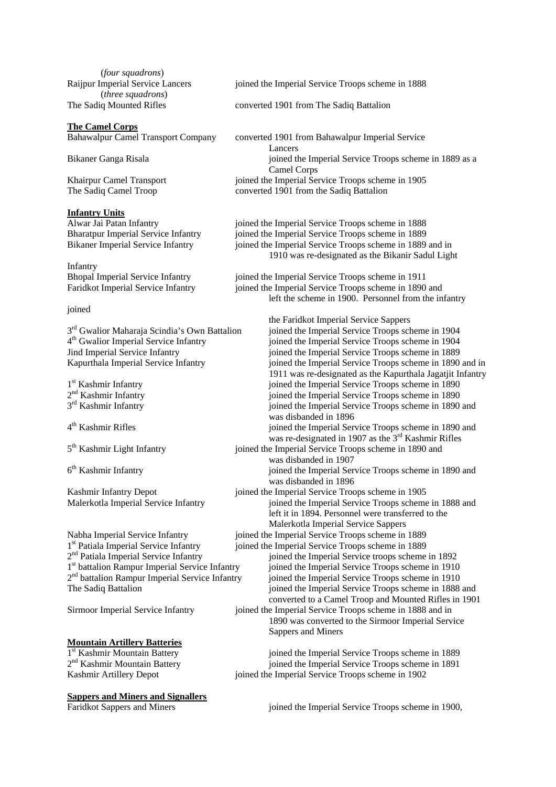(*four squadrons*) (*three squadrons*)

#### **The Camel Corps**

### **Infantry Units**

Infantry

#### joined

# **Mountain Artillery Batteries**<br>1<sup>st</sup> Kashmir Mountain Battery

**Sappers and Miners and Signallers**

Raijpur Imperial Service Lancers joined the Imperial Service Troops scheme in 1888

The Sadiq Mounted Rifles converted 1901 from The Sadiq Battalion

Bahawalpur Camel Transport Company converted 1901 from Bahawalpur Imperial Service Lancers Bikaner Ganga Risala in the Imperial Service Troops scheme in 1889 as a service Troops scheme in 1889 as a Camel Corps Khairpur Camel Transport joined the Imperial Service Troops scheme in 1905 The Sadiq Camel Troop converted 1901 from the Sadiq Battalion

Alwar Jai Patan Infantry joined the Imperial Service Troops scheme in 1888 Bharatpur Imperial Service Infantry joined the Imperial Service Troops scheme in 1889 Bikaner Imperial Service Infantry joined the Imperial Service Troops scheme in 1889 and in 1910 was re-designated as the Bikanir Sadul Light

Bhopal Imperial Service Infantry joined the Imperial Service Troops scheme in 1911 Faridkot Imperial Service Infantry joined the Imperial Service Troops scheme in 1890 and left the scheme in 1900. Personnel from the infantry

 the Faridkot Imperial Service Sappers  $3<sup>rd</sup>$  Gwalior Maharaja Scindia's Own Battalion joined the Imperial Service Troops scheme in 1904<br>  $4<sup>th</sup>$  Gwalior Imperial Service Infantry joined the Imperial Service Troops scheme in 1904 4<sup>th</sup> Gwalior Imperial Service Infantry independent poined the Imperial Service Troops scheme in 1904<br>Jind Imperial Service Infantry independent poined the Imperial Service Troops scheme in 1889 Jind Imperial Service Infantry joined the Imperial Service Troops scheme in 1889<br>Kapurthala Imperial Service Infantry joined the Imperial Service Troops scheme in 1890 ioined the Imperial Service Troops scheme in 1890 and in 1911 was re-designated as the Kapurthala Jagatjit Infantry<br>1<sup>st</sup> Kashmir Infantry<br>1911 was re-designated as the Kapurthala Jagatjit Infantry<br>1911 was re-designated as the Kapurthala Jagatjit Infantry 1<sup>st</sup> Kashmir Infantry infantry joined the Imperial Service Troops scheme in 1890<br>
2<sup>nd</sup> Kashmir Infantry infantry infantry infantry in the Imperial Service Troops scheme in 1890  $2<sup>nd</sup>$  Kashmir Infantry is poined the Imperial Service Troops scheme in 1890<br> $3<sup>rd</sup>$  Kashmir Infantry is poined the Imperial Service Troops scheme in 1890 joined the Imperial Service Troops scheme in 1890 and was disbanded in 1896<br>
4<sup>th</sup> Kashmir Rifles<br>
ioined the Imperial Ser ioined the Imperial Service Troops scheme in 1890 and was re-designated in 1907 as the 3<sup>rd</sup> Kashmir Rifles<br>5<sup>th</sup> Kashmir Light Infantry ioined the Imperial Service Troops scheme in 1890 and joined the Imperial Service Troops scheme in 1890 and was disbanded in 1907 6th Kashmir Infantry joined the Imperial Service Troops scheme in 1890 and was disbanded in 1896 Kashmir Infantry Depot joined the Imperial Service Troops scheme in 1905 Malerkotla Imperial Service Infantry joined the Imperial Service Troops scheme in 1888 and left it in 1894. Personnel were transferred to the Malerkotla Imperial Service Sappers Nabha Imperial Service Infantry joined the Imperial Service Troops scheme in 1889  $1<sup>st</sup>$  Patiala Imperial Service Infantry joined the Imperial Service Troops scheme in 1889<br>  $2<sup>nd</sup>$  Patiala Imperial Service Infantry joined the Imperial Service troops scheme  $2<sup>nd</sup>$  Patiala Imperial Service Infantry ioined the Imperial Service troops scheme in 1892<br>
1<sup>st</sup> battalion Rampur Imperial Service Infantry ioined the Imperial Service Troops scheme in 1910  $1<sup>st</sup>$  battalion Rampur Imperial Service Infantry ioined the Imperial Service Troops scheme in 1910<br>  $2<sup>nd</sup>$  battalion Rampur Imperial Service Infantry ioined the Imperial Service Troops scheme in 1910 <sup>2nd</sup> battalion Rampur Imperial Service Infantry ioined the Imperial Service Troops scheme in 1910<br>The Sadia Battalion ioined the Imperial Service Troops scheme in 1888 joined the Imperial Service Troops scheme in 1888 and converted to a Camel Troop and Mounted Rifles in 1901 Sirmoor Imperial Service Infantry joined the Imperial Service Troops scheme in 1888 and in

 1890 was converted to the Sirmoor Imperial Service Sappers and Miners

 $1<sup>st</sup>$  Kashmir Mountain Battery in the Imperial Service Troops scheme in 1889<br>  $2<sup>nd</sup>$  Kashmir Mountain Battery in the Imperial Service Troops scheme in 1891 ioined the Imperial Service Troops scheme in 1891 Kashmir Artillery Depot joined the Imperial Service Troops scheme in 1902

Faridkot Sappers and Miners joined the Imperial Service Troops scheme in 1900,